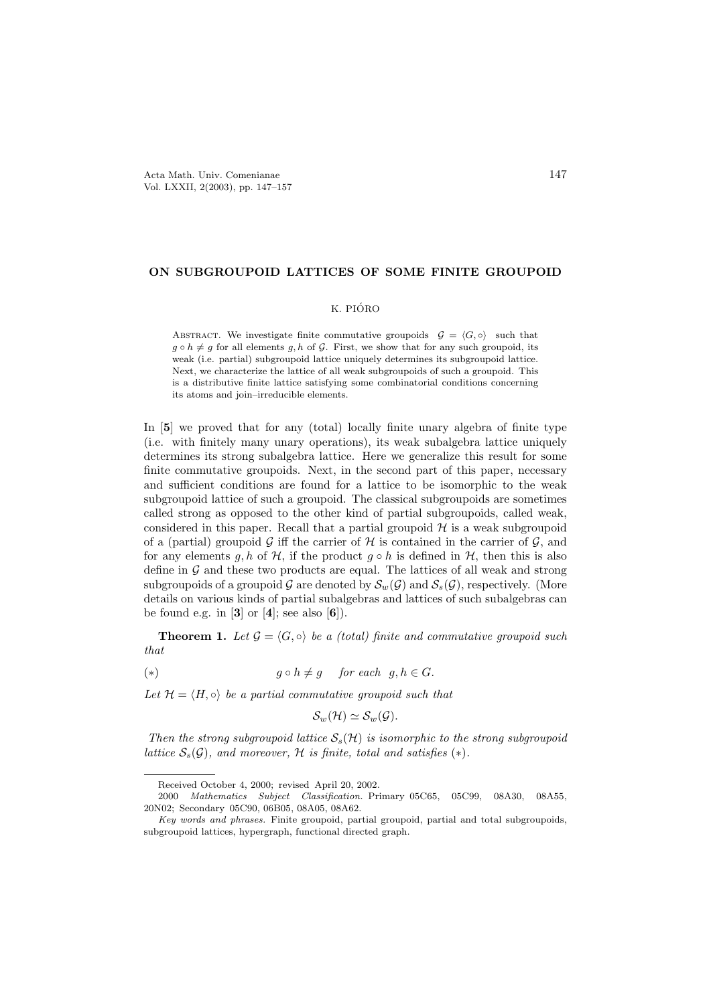## ON SUBGROUPOID LATTICES OF SOME FINITE GROUPOID

## K. PIÓRO

ABSTRACT. We investigate finite commutative groupoids  $G = \langle G, \circ \rangle$  such that  $g \circ h \neq g$  for all elements g, h of G. First, we show that for any such groupoid, its weak (i.e. partial) subgroupoid lattice uniquely determines its subgroupoid lattice. Next, we characterize the lattice of all weak subgroupoids of such a groupoid. This is a distributive finite lattice satisfying some combinatorial conditions concerning its atoms and join–irreducible elements.

In [[5](#page-10-1)] we proved that for any (total) locally finite unary algebra of finite type (i.e. with finitely many unary operations), its weak subalgebra lattice uniquely determines its strong subalgebra lattice. Here we generalize this result for some finite commutative groupoids. Next, in the second part of this paper, necessary and sufficient conditions are found for a lattice to be isomorphic to the weak subgroupoid lattice of such a groupoid. The classical subgroupoids are sometimes called strong as opposed to the other kind of partial subgroupoids, called weak, considered in this paper. Recall that a partial groupoid  $H$  is a weak subgroupoid of a (partial) groupoid G iff the carrier of H is contained in the carrier of  $\mathcal{G}$ , and for any elements g, h of H, if the product  $g \circ h$  is defined in H, then this is also define in  $\mathcal G$  and these two products are equal. The lattices of all weak and strong subgroupoids of a groupoid G are denoted by  $S_w(G)$  and  $S_s(G)$ , respectively. (More details on various kinds of partial subalgebras and lattices of such subalgebras can be found e.g. in  $[3]$  $[3]$  $[3]$  or  $[4]$  $[4]$  $[4]$ ; see also  $[6]$  $[6]$  $[6]$ ).

**Theorem 1.** Let  $\mathcal{G} = \langle G, \circ \rangle$  be a (total) finite and commutative groupoid such that

(\*)  $q \circ h \neq q$  for each  $q, h \in G$ .

Let  $\mathcal{H} = \langle H, \circ \rangle$  be a partial commutative groupoid such that

<span id="page-0-0"></span>
$$
\mathcal{S}_w(\mathcal{H})\simeq \mathcal{S}_w(\mathcal{G}).
$$

Then the strong subgroupoid lattice  $S<sub>s</sub>(\mathcal{H})$  is isomorphic to the strong subgroupoid lattice  $S_s(\mathcal{G})$ , and moreover, H is finite, total and satisfies  $(*)$ .

Received October 4, 2000; revised April 20, 2002.

<sup>2000</sup> Mathematics Subject Classification. Primary 05C65, 05C99, 08A30, 08A55, 20N02; Secondary 05C90, 06B05, 08A05, 08A62.

Key words and phrases. Finite groupoid, partial groupoid, partial and total subgroupoids, subgroupoid lattices, hypergraph, functional directed graph.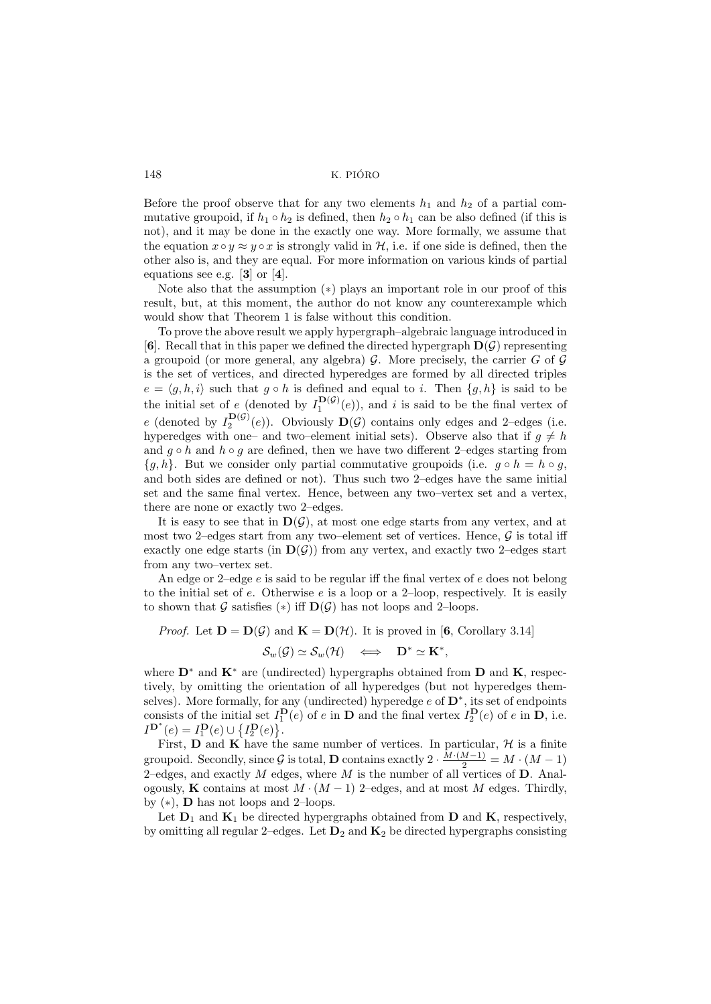Before the proof observe that for any two elements  $h_1$  and  $h_2$  of a partial commutative groupoid, if  $h_1 \circ h_2$  is defined, then  $h_2 \circ h_1$  can be also defined (if this is not), and it may be done in the exactly one way. More formally, we assume that the equation  $x \circ y \approx y \circ x$  is strongly valid in H, i.e. if one side is defined, then the other also is, and they are equal. For more information on various kinds of partial equations see e.g. [[3](#page-10-2)] or [[4](#page-10-3)].

Note also that the assumption ([∗](#page-0-0)) plays an important role in our proof of this result, but, at this moment, the author do not know any counterexample which would show that Theorem 1 is false without this condition.

To prove the above result we apply hypergraph–algebraic language introduced in [[6](#page-10-4)]. Recall that in this paper we defined the directed hypergraph  $\mathbf{D}(\mathcal{G})$  representing a groupoid (or more general, any algebra) G. More precisely, the carrier G of G is the set of vertices, and directed hyperedges are formed by all directed triples  $e = \langle g, h, i \rangle$  such that  $g \circ h$  is defined and equal to i. Then  $\{g, h\}$  is said to be the initial set of e (denoted by  $I_1^{\mathbf{D}(\mathcal{G})}(e)$ ), and i is said to be the final vertex of e (denoted by  $I_2^{\mathbf{D}(\mathcal{G})}(e)$ ). Obviously  $\mathbf{D}(\mathcal{G})$  contains only edges and 2-edges (i.e. hyperedges with one– and two–element initial sets). Observe also that if  $g \neq h$ and  $g \circ h$  and  $h \circ g$  are defined, then we have two different 2–edges starting from  $\{q, h\}$ . But we consider only partial commutative groupoids (i.e.  $q \circ h = h \circ q$ , and both sides are defined or not). Thus such two 2–edges have the same initial set and the same final vertex. Hence, between any two–vertex set and a vertex, there are none or exactly two 2–edges.

It is easy to see that in  $D(G)$ , at most one edge starts from any vertex, and at most two 2–edges start from any two–element set of vertices. Hence,  $\mathcal G$  is total iff exactly one edge starts (in  $\mathbf{D}(\mathcal{G})$ ) from any vertex, and exactly two 2-edges start from any two–vertex set.

An edge or 2–edge  $e$  is said to be regular iff the final vertex of  $e$  does not belong to the initial set of  $e$ . Otherwise  $e$  is a loop or a 2-loop, respectively. It is easily to shown that G satisfies (\*) iff  $\mathbf{D}(\mathcal{G})$  has not loops and 2–loops.

*Proof.* Let  $D = D(\mathcal{G})$  and  $K = D(\mathcal{H})$ . It is proved in [[6](#page-10-4), Corollary 3.14]  $\mathcal{S}_w(\mathcal{G}) \simeq \mathcal{S}_w(\mathcal{H}) \quad \Longleftrightarrow \quad \mathbf{D}^* \simeq \mathbf{K}^*,$ 

where  $\mathbf{D}^*$  and  $\mathbf{K}^*$  are (undirected) hypergraphs obtained from  $\mathbf{D}$  and  $\mathbf{K}$ , respectively, by omitting the orientation of all hyperedges (but not hyperedges themselves). More formally, for any (undirected) hyperedge  $e$  of  $\mathbf{D}^*$ , its set of endpoints consists of the initial set  $I_1^{\mathbf{D}}(e)$  of e in **D** and the final vertex  $I_2^{\mathbf{D}}(e)$  of e in **D**, i.e.  $I^{\mathbf{D}^*}(e) = I_1^{\mathbf{D}}(e) \cup \{I_2^{\mathbf{D}}(e)\}.$ 

First, **D** and **K** have the same number of vertices. In particular,  $H$  is a finite groupoid. Secondly, since G is total, D contains exactly  $2 \cdot \frac{M \cdot (M-1)}{2} = M \cdot (M-1)$ 2-edges, and exactly  $M$  edges, where  $M$  is the number of all vertices of  $D$ . Analogously, K contains at most  $M \cdot (M-1)$  2–edges, and at most M edges. Thirdly, by  $(*)$ , **D** has not loops and 2–loops.

Let  $D_1$  and  $K_1$  be directed hypergraphs obtained from D and K, respectively, by omitting all regular 2–edges. Let  $D_2$  and  $K_2$  be directed hypergraphs consisting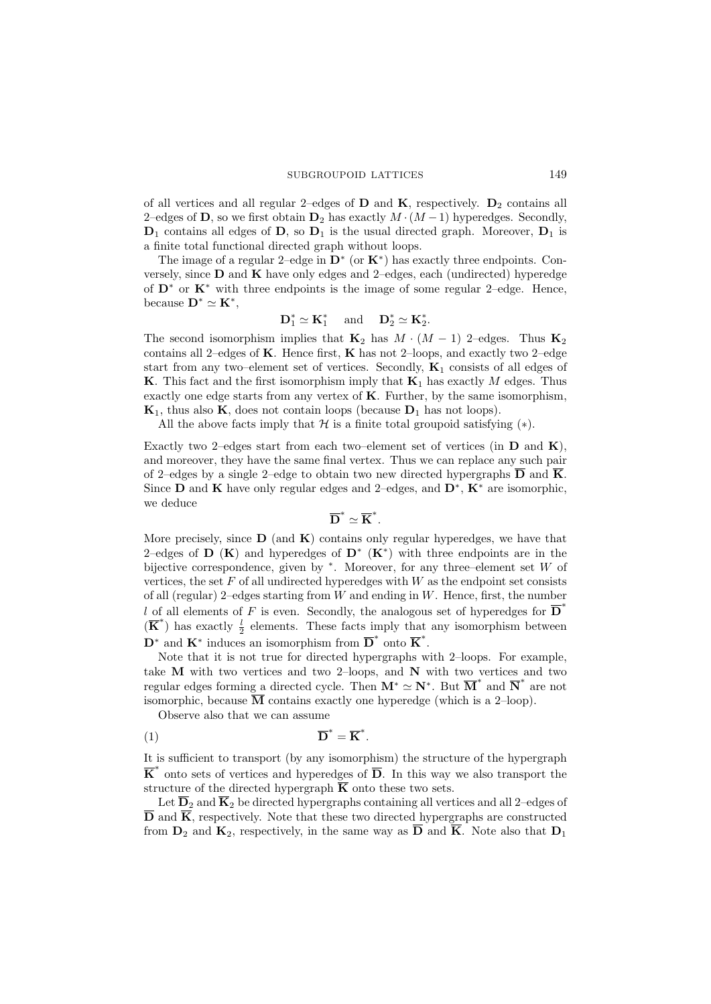of all vertices and all regular 2–edges of  $\bf{D}$  and  $\bf{K}$ , respectively.  $\bf{D}_2$  contains all 2–edges of D, so we first obtain  $D_2$  has exactly  $M \cdot (M-1)$  hyperedges. Secondly,  $D_1$  contains all edges of D, so  $D_1$  is the usual directed graph. Moreover,  $D_1$  is a finite total functional directed graph without loops.

The image of a regular 2–edge in  $\mathbf{D}^*$  (or  $\mathbf{K}^*$ ) has exactly three endpoints. Conversely, since  $\bf{D}$  and  $\bf{K}$  have only edges and 2–edges, each (undirected) hyperedge of  $\mathbf{D}^*$  or  $\mathbf{K}^*$  with three endpoints is the image of some regular 2–edge. Hence, because  $\mathbf{D}^* \simeq \mathbf{K}^*$ ,

$$
\mathbf{D}_1^* \simeq \mathbf{K}_1^* \quad \text{ and } \quad \mathbf{D}_2^* \simeq \mathbf{K}_2^*.
$$

The second isomorphism implies that  $\mathbf{K}_2$  has  $M \cdot (M-1)$  2–edges. Thus  $\mathbf{K}_2$ contains all 2–edges of  $K$ . Hence first,  $K$  has not 2–loops, and exactly two 2–edge start from any two–element set of vertices. Secondly,  $K_1$  consists of all edges of K. This fact and the first isomorphism imply that  $K_1$  has exactly M edges. Thus exactly one edge starts from any vertex of  $K$ . Further, by the same isomorphism,  $K_1$ , thus also K, does not contain loops (because  $D_1$  has not loops).

All the above facts imply that  $H$  is a finite total groupoid satisfying  $(*)$ .

Exactly two 2–edges start from each two–element set of vertices (in  $\bf{D}$  and  $\bf{K}$ ), and moreover, they have the same final vertex. Thus we can replace any such pair of 2–edges by a single 2–edge to obtain two new directed hypergraphs  $\overline{\mathbf{D}}$  and  $\overline{\mathbf{K}}$ . Since D and K have only regular edges and 2–edges, and  $D^*$ ,  $K^*$  are isomorphic, we deduce

# $\overline{\mathbf{D}}^* \simeq \overline{\mathbf{K}}^*.$

More precisely, since  $\bf{D}$  (and  $\bf{K}$ ) contains only regular hyperedges, we have that 2–edges of D  $(K)$  and hyperedges of D<sup>\*</sup>  $(K^*)$  with three endpoints are in the bijective correspondence, given by  $*$ . Moreover, for any three–element set W of vertices, the set  $F$  of all undirected hyperedges with  $W$  as the endpoint set consists of all (regular) 2–edges starting from  $W$  and ending in  $W$ . Hence, first, the number l of all elements of F is even. Secondly, the analogous set of hyperedges for  $\overline{D}^*$  $(\overline{K}^*)$  has exactly  $\frac{l}{2}$  elements. These facts imply that any isomorphism between  $\mathbf{D}^*$  and  $\mathbf{K}^*$  induces an isomorphism from  $\overline{\mathbf{D}}^*$  onto  $\overline{\mathbf{K}}^*$ .

Note that it is not true for directed hypergraphs with 2–loops. For example, take  $M$  with two vertices and two 2–loops, and  $N$  with two vertices and two regular edges forming a directed cycle. Then  $M^* \simeq N^*$ . But  $\overline{M}^*$  and  $\overline{N}^*$  are not isomorphic, because  $\overline{M}$  contains exactly one hyperedge (which is a 2-loop).

<span id="page-2-0"></span>Observe also that we can assume

$$
\overline{\mathbf{D}}^* = \overline{\mathbf{K}}^*.
$$

It is sufficient to transport (by any isomorphism) the structure of the hypergraph  $\overline{\mathbf{K}}^*$  onto sets of vertices and hyperedges of  $\overline{\mathbf{D}}$ . In this way we also transport the structure of the directed hypergraph  $\overline{K}$  onto these two sets.

Let  $\overline{\mathbf{D}}_2$  and  $\overline{\mathbf{K}}_2$  be directed hypergraphs containing all vertices and all 2–edges of  $\overline{\mathbf{D}}$  and  $\overline{\mathbf{K}}$ , respectively. Note that these two directed hypergraphs are constructed from  $\mathbf{D}_2$  and  $\mathbf{K}_2$ , respectively, in the same way as  $\overline{\mathbf{D}}$  and  $\overline{\mathbf{K}}$ . Note also that  $\mathbf{D}_1$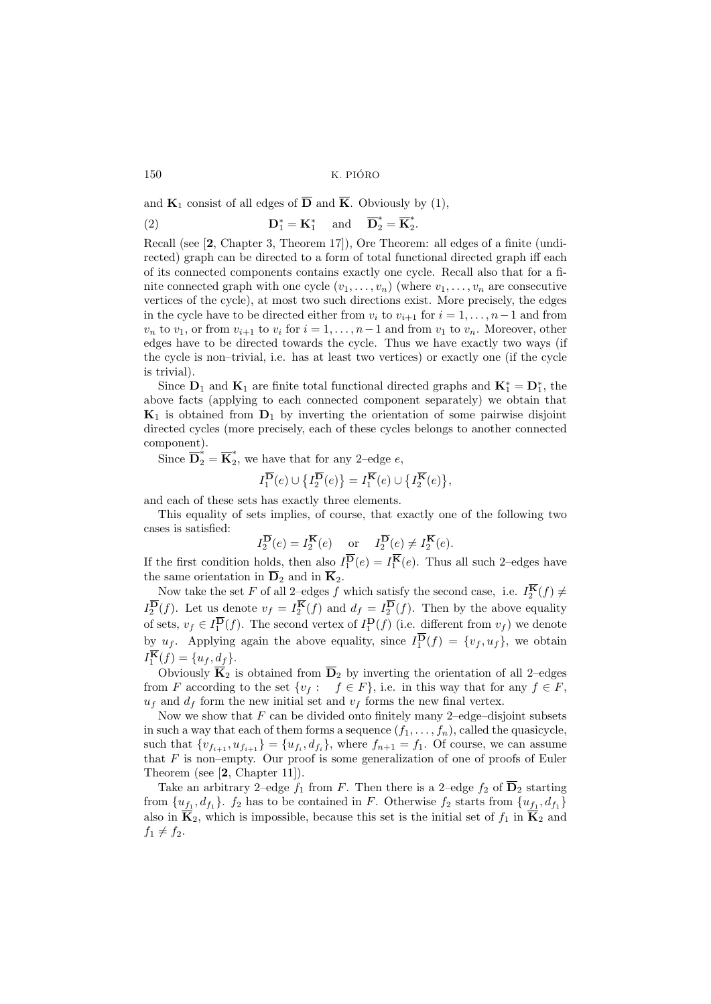and  $\mathbf{K}_1$  consist of all edges of  $\overline{\mathbf{D}}$  and  $\overline{\mathbf{K}}$ . Obviously by [\(1\)](#page-2-0),

(2) 
$$
\mathbf{D}_1^* = \mathbf{K}_1^* \text{ and } \overline{\mathbf{D}}_2^* = \overline{\mathbf{K}}_2^*.
$$

Recall (see [[2](#page-10-5), Chapter 3, Theorem 17]), Ore Theorem: all edges of a finite (undirected) graph can be directed to a form of total functional directed graph iff each of its connected components contains exactly one cycle. Recall also that for a finite connected graph with one cycle  $(v_1, \ldots, v_n)$  (where  $v_1, \ldots, v_n$  are consecutive vertices of the cycle), at most two such directions exist. More precisely, the edges in the cycle have to be directed either from  $v_i$  to  $v_{i+1}$  for  $i = 1, ..., n-1$  and from  $v_n$  to  $v_1$ , or from  $v_{i+1}$  to  $v_i$  for  $i = 1, \ldots, n-1$  and from  $v_1$  to  $v_n$ . Moreover, other edges have to be directed towards the cycle. Thus we have exactly two ways (if the cycle is non–trivial, i.e. has at least two vertices) or exactly one (if the cycle is trivial).

Since  $D_1$  and  $K_1$  are finite total functional directed graphs and  $K_1^* = D_1^*$ , the above facts (applying to each connected component separately) we obtain that  $\mathbf{K}_1$  is obtained from  $\mathbf{D}_1$  by inverting the orientation of some pairwise disjoint directed cycles (more precisely, each of these cycles belongs to another connected component).

Since  $\overline{\mathbf{D}}_2^* = \overline{\mathbf{K}}_2^*$  $\tilde{e}$ , we have that for any 2-edge e,

$$
I_1^{\overline{\mathbf{D}}}(e) \cup \big\{ I_2^{\overline{\mathbf{D}}}(e) \big\} = I_1^{\overline{\mathbf{K}}}(e) \cup \big\{ I_2^{\overline{\mathbf{K}}}(e) \big\},\
$$

and each of these sets has exactly three elements.

This equality of sets implies, of course, that exactly one of the following two cases is satisfied:

$$
I_2^{\overline{\mathbf{D}}}(e) = I_2^{\overline{\mathbf{K}}}(e) \quad \text{or} \quad I_2^{\overline{\mathbf{D}}}(e) \neq I_2^{\overline{\mathbf{K}}}(e).
$$

If the first condition holds, then also  $I_1^{\mathbf{D}}(e) = I_1^{\mathbf{K}}(e)$ . Thus all such 2-edges have the same orientation in  $\overline{\mathbf{D}}_2$  and in  $\overline{\mathbf{K}}_2$ .

Now take the set F of all 2-edges f which satisfy the second case, i.e.  $I_2^{\mathbf{K}}(f) \neq$  $I_2^{\mathbf{D}}(f)$ . Let us denote  $v_f = I_2^{\mathbf{K}}(f)$  and  $d_f = I_2^{\mathbf{D}}(f)$ . Then by the above equality of sets,  $v_f \in I_1^{\mathbf{D}}(f)$ . The second vertex of  $I_1^{\mathbf{D}}(f)$  (i.e. different from  $v_f$ ) we denote by  $u_f$ . Applying again the above equality, since  $I_1^{\mathbf{D}}(f) = \{v_f, u_f\}$ , we obtain  $I_1^{\mathbf{K}}(f) = \{u_f, d_f\}.$ 

Obviously  $\overline{K}_2$  is obtained from  $\overline{D}_2$  by inverting the orientation of all 2–edges from F according to the set  $\{v_f: f \in F\}$ , i.e. in this way that for any  $f \in F$ ,  $u_f$  and  $d_f$  form the new initial set and  $v_f$  forms the new final vertex.

Now we show that  $F$  can be divided onto finitely many 2–edge–disjoint subsets in such a way that each of them forms a sequence  $(f_1, \ldots, f_n)$ , called the quasicycle, such that  ${v_{f_{i+1}, u_{f_{i+1}}} = {u_{f_i}, d_{f_i}}$ , where  $f_{n+1} = f_1$ . Of course, we can assume that  $F$  is non–empty. Our proof is some generalization of one of proofs of Euler Theorem (see [[2](#page-10-5), Chapter 11]).

Take an arbitrary 2–edge  $f_1$  from F. Then there is a 2–edge  $f_2$  of  $\overline{D}_2$  starting from  $\{u_{f_1}, d_{f_1}\}\$ .  $f_2$  has to be contained in F. Otherwise  $f_2$  starts from  $\{u_{f_1}, d_{f_1}\}\$ also in  $\overline{K}_2$ , which is impossible, because this set is the initial set of  $f_1$  in  $\overline{K}_2$  and  $f_1 \neq f_2$ .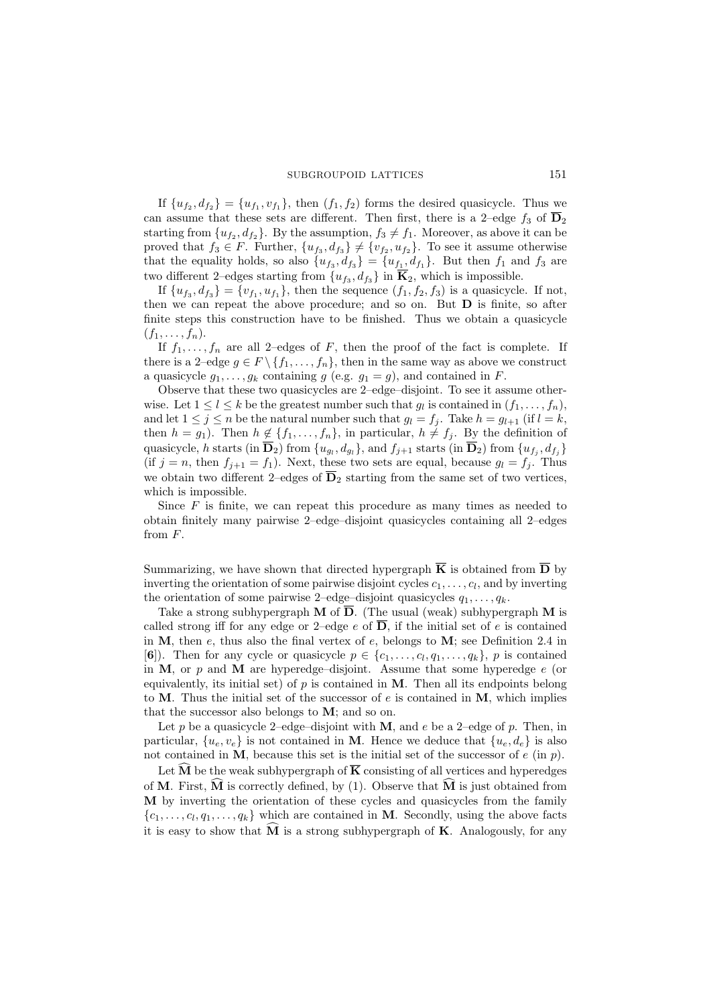#### SUBGROUPOID LATTICES 151

If  $\{u_{f_2}, d_{f_2}\} = \{u_{f_1}, v_{f_1}\}$ , then  $(f_1, f_2)$  forms the desired quasicycle. Thus we can assume that these sets are different. Then first, there is a 2-edge  $f_3$  of  $\overline{D}_2$ starting from  $\{u_{f_2}, d_{f_2}\}$ . By the assumption,  $f_3 \neq f_1$ . Moreover, as above it can be proved that  $f_3 \in F$ . Further,  $\{u_{f_3}, d_{f_3}\}\neq \{v_{f_2}, u_{f_2}\}$ . To see it assume otherwise that the equality holds, so also  $\{u_{f_3}, d_{f_3}\} = \{u_{f_1}, d_{f_1}\}\$ . But then  $f_1$  and  $f_3$  are two different 2–edges starting from  $\{u_{f_3}, d_{f_3}\}\$ in  $\mathbf{K}_2$ , which is impossible.

If  $\{u_{f_3}, d_{f_3}\} = \{v_{f_1}, u_{f_1}\}$ , then the sequence  $(f_1, f_2, f_3)$  is a quasicycle. If not, then we can repeat the above procedure; and so on. But  $D$  is finite, so after finite steps this construction have to be finished. Thus we obtain a quasicycle  $(f_1, \ldots, f_n).$ 

If  $f_1, \ldots, f_n$  are all 2–edges of F, then the proof of the fact is complete. If there is a 2–edge  $g \in F \setminus \{f_1, \ldots, f_n\}$ , then in the same way as above we construct a quasicycle  $g_1, \ldots, g_k$  containing g (e.g.  $g_1 = g$ ), and contained in F.

Observe that these two quasicycles are 2–edge–disjoint. To see it assume otherwise. Let  $1 \leq l \leq k$  be the greatest number such that  $g_l$  is contained in  $(f_1, \ldots, f_n)$ , and let  $1 \leq j \leq n$  be the natural number such that  $g_l = f_j$ . Take  $h = g_{l+1}$  (if  $l = k$ , then  $h = g_1$ ). Then  $h \notin \{f_1, \ldots, f_n\}$ , in particular,  $h \neq f_j$ . By the definition of quasicycle, h starts (in  $\mathbf{D}_2$ ) from  $\{u_{g_l}, d_{g_l}\}$ , and  $f_{j+1}$  starts (in  $\mathbf{D}_2$ ) from  $\{u_{f_j}, d_{f_j}\}$ (if  $j = n$ , then  $f_{j+1} = f_1$ ). Next, these two sets are equal, because  $g_l = f_j$ . Thus we obtain two different 2–edges of  $\overline{\mathbf{D}}_2$  starting from the same set of two vertices, which is impossible.

Since  $F$  is finite, we can repeat this procedure as many times as needed to obtain finitely many pairwise 2–edge–disjoint quasicycles containing all 2–edges from F.

Summarizing, we have shown that directed hypergraph  $\overline{K}$  is obtained from  $\overline{D}$  by inverting the orientation of some pairwise disjoint cycles  $c_1, \ldots, c_l$ , and by inverting the orientation of some pairwise 2–edge–disjoint quasicycles  $q_1, \ldots, q_k$ .

Take a strong subhypergraph M of  $\overline{D}$ . (The usual (weak) subhypergraph M is called strong iff for any edge or 2–edge e of  $\overline{D}$ , if the initial set of e is contained in  $M$ , then e, thus also the final vertex of e, belongs to  $M$ ; see Definition 2.4 in [[6](#page-10-4)]). Then for any cycle or quasicycle  $p \in \{c_1, \ldots, c_l, q_1, \ldots, q_k\}$ , p is contained in  $M$ , or  $p$  and  $M$  are hyperedge–disjoint. Assume that some hyperedge  $e$  (or equivalently, its initial set) of  $p$  is contained in  $M$ . Then all its endpoints belong to M. Thus the initial set of the successor of  $e$  is contained in M, which implies that the successor also belongs to M; and so on.

Let p be a quasicycle 2–edge–disjoint with M, and e be a 2–edge of p. Then, in particular,  $\{u_e, v_e\}$  is not contained in M. Hence we deduce that  $\{u_e, d_e\}$  is also not contained in M, because this set is the initial set of the successor of  $e$  (in  $p$ ).

Let  $\widehat{M}$  be the weak subhypergraph of  $\overline{K}$  consisting of all vertices and hyperedges of M. First, M is correctly defined, by  $(1)$ . Observe that M is just obtained from M by inverting the orientation of these cycles and quasicycles from the family  $\{c_1, \ldots, c_l, q_1, \ldots, q_k\}$  which are contained in **M**. Secondly, using the above facts it is easy to show that  $\overline{M}$  is a strong subhypergraph of  $\bf{K}$ . Analogously, for any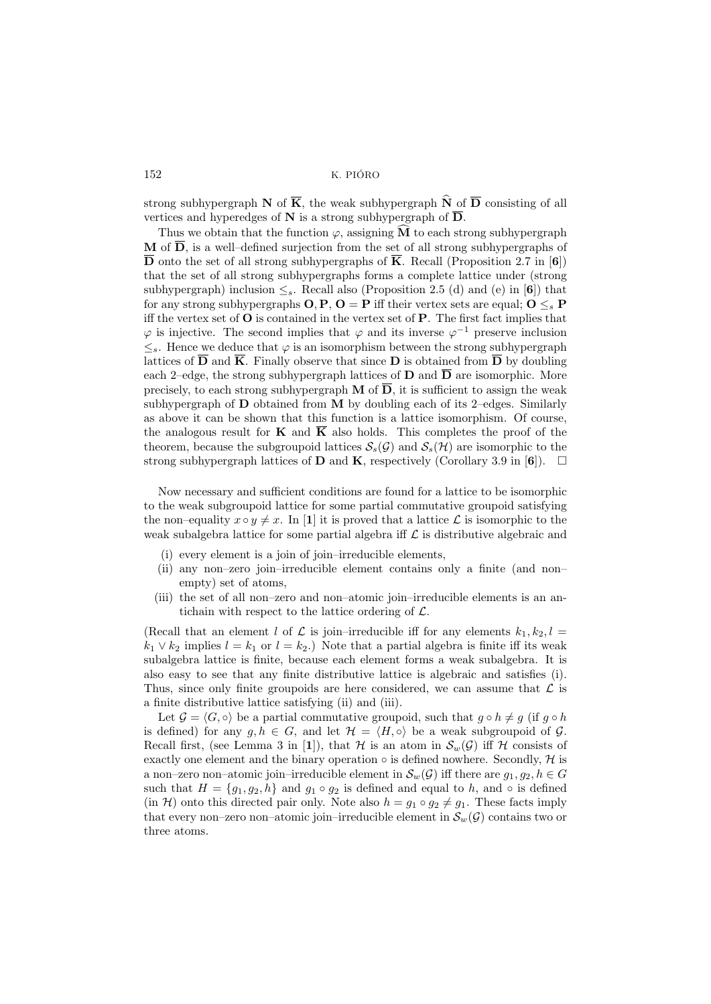strong subhypergraph N of  $\overline{K}$ , the weak subhypergraph  $\widehat{N}$  of  $\overline{D}$  consisting of all vertices and hyperedges of N is a strong subhypergraph of  $\overline{D}$ .

Thus we obtain that the function  $\varphi$ , assigning  $\overline{M}$  to each strong subhypergraph **M** of  $\overline{D}$ , is a well-defined surjection from the set of all strong subhypergraphs of D onto the set of all strong subhypergraphs of K. Recall (Proposition 2.7 in [[6](#page-10-4)]) that the set of all strong subhypergraphs forms a complete lattice under (strong subhypergraph) inclusion  $\leq_s$ . Recall also (Proposition 2.5 (d) and (e) in [[6](#page-10-4)]) that for any strong subhypergraphs  $O, P, O = P$  iff their vertex sets are equal;  $O \leq_s P$ iff the vertex set of  $O$  is contained in the vertex set of  $P$ . The first fact implies that  $\varphi$  is injective. The second implies that  $\varphi$  and its inverse  $\varphi^{-1}$  preserve inclusion  $\leq_s$ . Hence we deduce that  $\varphi$  is an isomorphism between the strong subhypergraph lattices of  $\overline{\mathbf{D}}$  and  $\overline{\mathbf{K}}$ . Finally observe that since **D** is obtained from  $\overline{\mathbf{D}}$  by doubling each 2–edge, the strong subhypergraph lattices of  $\bf{D}$  and  $\bf{\overline{D}}$  are isomorphic. More precisely, to each strong subhypergraph  $M$  of  $\overline{D}$ , it is sufficient to assign the weak subhypergraph of  **obtained from**  $**M**$  **by doubling each of its 2–edges. Similarly** as above it can be shown that this function is a lattice isomorphism. Of course, the analogous result for **K** and  $\overline{K}$  also holds. This completes the proof of the theorem, because the subgroupoid lattices  $S_s(\mathcal{G})$  and  $S_s(\mathcal{H})$  are isomorphic to the strong subhypergraph lattices of **D** and **K**, respectively (Corollary 3.9 in [[6](#page-10-4)]).  $\Box$ 

Now necessary and sufficient conditions are found for a lattice to be isomorphic to the weak subgroupoid lattice for some partial commutative groupoid satisfying the non–equality  $x \circ y \neq x$ . In [[1](#page-10-0)] it is proved that a lattice  $\mathcal L$  is isomorphic to the weak subalgebra lattice for some partial algebra iff  $\mathcal L$  is distributive algebraic and

- (i) every element is a join of join–irreducible elements,
- (ii) any non–zero join–irreducible element contains only a finite (and non– empty) set of atoms,
- (iii) the set of all non–zero and non–atomic join–irreducible elements is an antichain with respect to the lattice ordering of  $\mathcal{L}$ .

(Recall that an element l of  $\mathcal L$  is join–irreducible iff for any elements  $k_1, k_2, l =$  $k_1 \vee k_2$  implies  $l = k_1$  or  $l = k_2$ .) Note that a partial algebra is finite iff its weak subalgebra lattice is finite, because each element forms a weak subalgebra. It is also easy to see that any finite distributive lattice is algebraic and satisfies (i). Thus, since only finite groupoids are here considered, we can assume that  $\mathcal L$  is a finite distributive lattice satisfying (ii) and (iii).

Let  $\mathcal{G} = \langle G, \circ \rangle$  be a partial commutative groupoid, such that  $g \circ h \neq g$  (if  $g \circ h$ ) is defined) for any  $g, h \in G$ , and let  $\mathcal{H} = \langle H, \circ \rangle$  be a weak subgroupoid of  $\mathcal{G}$ . Recall first, (see Lemma 3 in [[1](#page-10-0)]), that H is an atom in  $\mathcal{S}_{w}(\mathcal{G})$  iff H consists of exactly one element and the binary operation  $\circ$  is defined nowhere. Secondly,  $\mathcal H$  is a non–zero non–atomic join–irreducible element in  $\mathcal{S}_{w}(\mathcal{G})$  iff there are  $g_1, g_2, h \in G$ such that  $H = \{g_1, g_2, h\}$  and  $g_1 \circ g_2$  is defined and equal to h, and  $\circ$  is defined  $(\text{in } \mathcal{H})$  onto this directed pair only. Note also  $h = g_1 \circ g_2 \neq g_1$ . These facts imply that every non–zero non–atomic join–irreducible element in  $\mathcal{S}_w(\mathcal{G})$  contains two or three atoms.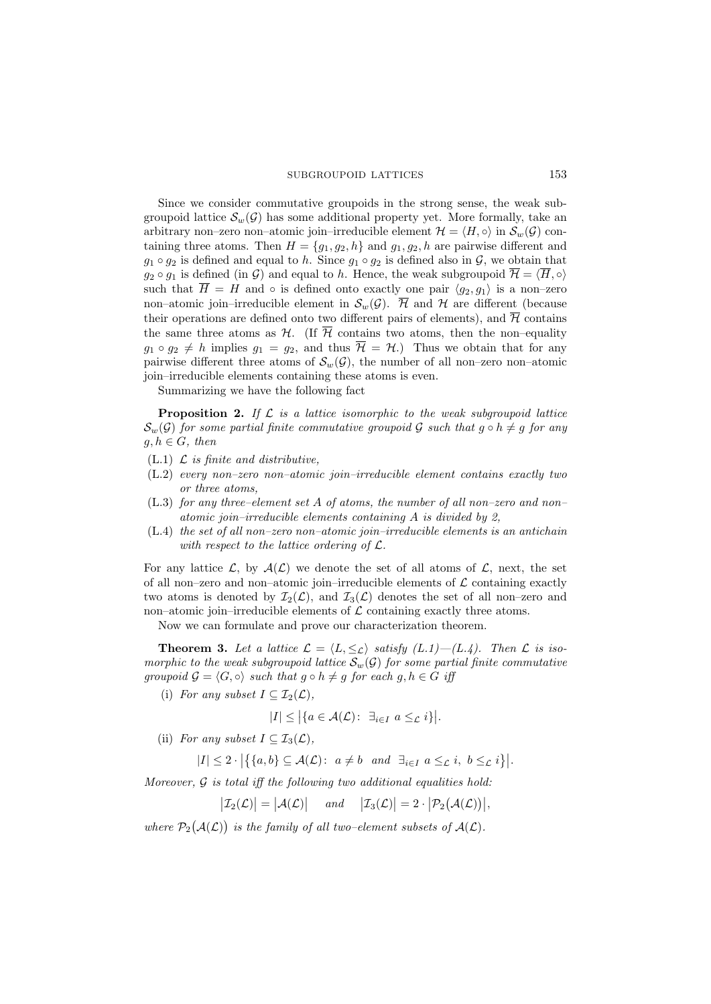### SUBGROUPOID LATTICES 153

Since we consider commutative groupoids in the strong sense, the weak subgroupoid lattice  $\mathcal{S}_{w}(\mathcal{G})$  has some additional property yet. More formally, take an arbitrary non–zero non–atomic join–irreducible element  $\mathcal{H} = \langle H, \circ \rangle$  in  $\mathcal{S}_w(\mathcal{G})$  containing three atoms. Then  $H = \{g_1, g_2, h\}$  and  $g_1, g_2, h$  are pairwise different and  $g_1 \circ g_2$  is defined and equal to h. Since  $g_1 \circ g_2$  is defined also in  $\mathcal{G}$ , we obtain that  $g_2 \circ g_1$  is defined (in G) and equal to h. Hence, the weak subgroupoid  $\overline{\mathcal{H}} = \langle \overline{H}, \circ \rangle$ such that  $\overline{H} = H$  and  $\circ$  is defined onto exactly one pair  $\langle g_2, g_1 \rangle$  is a non-zero non–atomic join–irreducible element in  $\mathcal{S}_w(\mathcal{G})$ .  $\overline{\mathcal{H}}$  and  $\mathcal{H}$  are different (because their operations are defined onto two different pairs of elements), and  $\overline{\mathcal{H}}$  contains the same three atoms as  $H$ . (If  $\overline{\mathcal{H}}$  contains two atoms, then the non-equality  $g_1 \circ g_2 \neq h$  implies  $g_1 = g_2$ , and thus  $\overline{\mathcal{H}} = \mathcal{H}$ .) Thus we obtain that for any pairwise different three atoms of  $\mathcal{S}_{w}(\mathcal{G})$ , the number of all non–zero non–atomic join–irreducible elements containing these atoms is even.

Summarizing we have the following fact

**Proposition 2.** If  $\mathcal{L}$  is a lattice isomorphic to the weak subgroupoid lattice  $\mathcal{S}_{w}(\mathcal{G})$  for some partial finite commutative groupoid  $\mathcal{G}$  such that  $q \circ h \neq q$  for any  $g, h \in G$ , then

- (L.1)  $\mathcal{L}$  is finite and distributive,
- (L.2) every non–zero non–atomic join–irreducible element contains exactly two or three atoms,
- (L.3) for any three–element set A of atoms, the number of all non–zero and non– atomic join–irreducible elements containing A is divided by 2,
- $(L.4)$  the set of all non–zero non–atomic join–irreducible elements is an antichain with respect to the lattice ordering of  $\mathcal{L}$ .

For any lattice  $\mathcal{L}$ , by  $\mathcal{A}(\mathcal{L})$  we denote the set of all atoms of  $\mathcal{L}$ , next, the set of all non–zero and non–atomic join–irreducible elements of  $\mathcal L$  containing exactly two atoms is denoted by  $\mathcal{I}_2(\mathcal{L})$ , and  $\mathcal{I}_3(\mathcal{L})$  denotes the set of all non–zero and non–atomic join–irreducible elements of  $\mathcal L$  containing exactly three atoms.

Now we can formulate and prove our characterization theorem.

**Theorem 3.** Let a lattice  $\mathcal{L} = \langle L, \leq_{\mathcal{L}} \rangle$  satisfy  $(L.1) - (L.4)$ . Then  $\mathcal{L}$  is isomorphic to the weak subgroupoid lattice  $S_w(\mathcal{G})$  for some partial finite commutative groupoid  $\mathcal{G} = \langle G, \circ \rangle$  such that  $g \circ h \neq g$  for each  $g, h \in G$  iff

(i) For any subset  $I \subseteq \mathcal{I}_2(\mathcal{L}),$ 

$$
|I| \leq |\{a \in \mathcal{A}(\mathcal{L}) : \exists_{i \in I} a \leq_{\mathcal{L}} i\}|.
$$

(ii) For any subset  $I \subseteq \mathcal{I}_3(\mathcal{L})$ ,

 $|I| \leq 2 \cdot |\{\{a,b\} \subseteq \mathcal{A}(\mathcal{L}) : a \neq b \text{ and } \exists_{i \in I} a \leq_{\mathcal{L}} i, b \leq_{\mathcal{L}} i\}|.$ 

Moreover,  $G$  is total iff the following two additional equalities hold:

 $|\mathcal{I}_2(\mathcal{L})| = |\mathcal{A}(\mathcal{L})|$  and  $|\mathcal{I}_3(\mathcal{L})| = 2 \cdot |\mathcal{P}_2(\mathcal{A}(\mathcal{L}))|$ ,

where  $P_2(A(\mathcal{L}))$  is the family of all two-element subsets of  $A(\mathcal{L})$ .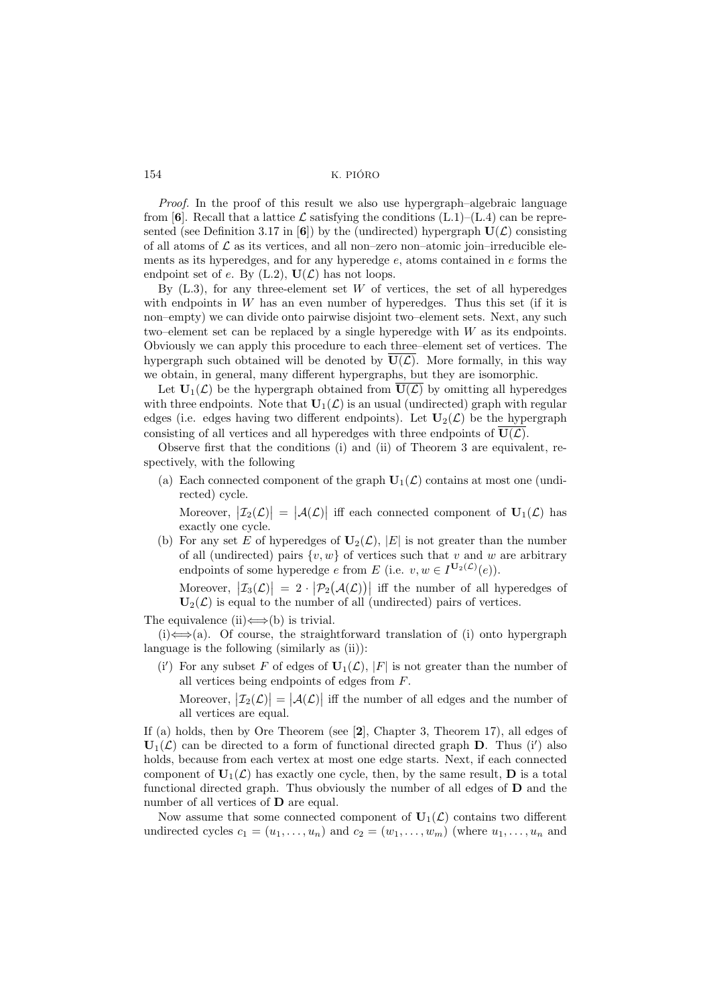Proof. In the proof of this result we also use hypergraph–algebraic language from [[6](#page-10-4)]. Recall that a lattice  $\mathcal L$  satisfying the conditions  $(L.1)$ – $(L.4)$  can be repre-sented (see Definition 3.17 in [[6](#page-10-4)]) by the (undirected) hypergraph  $U(\mathcal{L})$  consisting of all atoms of  $\mathcal L$  as its vertices, and all non–zero non–atomic join–irreducible elements as its hyperedges, and for any hyperedge  $e$ , atoms contained in  $e$  forms the endpoint set of e. By  $(L.2)$ ,  $U(\mathcal{L})$  has not loops.

By  $(L.3)$ , for any three-element set W of vertices, the set of all hyperedges with endpoints in  $W$  has an even number of hyperedges. Thus this set (if it is non–empty) we can divide onto pairwise disjoint two–element sets. Next, any such two–element set can be replaced by a single hyperedge with  $W$  as its endpoints. Obviously we can apply this procedure to each three–element set of vertices. The hypergraph such obtained will be denoted by  $\overline{U(\mathcal{L})}$ . More formally, in this way we obtain, in general, many different hypergraphs, but they are isomorphic.

Let  $U_1(\mathcal{L})$  be the hypergraph obtained from  $\overline{U(\mathcal{L})}$  by omitting all hyperedges with three endpoints. Note that  $\mathbf{U}_1(\mathcal{L})$  is an usual (undirected) graph with regular edges (i.e. edges having two different endpoints). Let  $\mathbf{U}_2(\mathcal{L})$  be the hypergraph consisting of all vertices and all hyperedges with three endpoints of  $\overline{U(\mathcal{L})}$ .

Observe first that the conditions (i) and (ii) of Theorem 3 are equivalent, respectively, with the following

(a) Each connected component of the graph  $U_1(\mathcal{L})$  contains at most one (undirected) cycle.

Moreover,  $|\mathcal{I}_2(\mathcal{L})| = |\mathcal{A}(\mathcal{L})|$  iff each connected component of  $\mathbf{U}_1(\mathcal{L})$  has exactly one cycle.

(b) For any set E of hyperedges of  $U_2(\mathcal{L})$ ,  $|E|$  is not greater than the number of all (undirected) pairs  $\{v, w\}$  of vertices such that v and w are arbitrary endpoints of some hyperedge e from E (i.e.  $v, w \in I^{\mathbf{U}_2(\mathcal{L})}(e)$ ).

Moreover,  $|\mathcal{I}_3(\mathcal{L})| = 2 \cdot |\mathcal{P}_2(\mathcal{A}(\mathcal{L}))|$  iff the number of all hyperedges of  $U_2(\mathcal{L})$  is equal to the number of all (undirected) pairs of vertices.

The equivalence (ii) $\Longleftrightarrow$  (b) is trivial.

 $(i) \Leftrightarrow$  (a). Of course, the straightforward translation of (i) onto hypergraph language is the following (similarly as (ii)):

(i') For any subset F of edges of  $U_1(\mathcal{L}), |F|$  is not greater than the number of all vertices being endpoints of edges from F.

Moreover,  $|\mathcal{I}_2(\mathcal{L})| = |\mathcal{A}(\mathcal{L})|$  iff the number of all edges and the number of all vertices are equal.

If (a) holds, then by Ore Theorem (see [[2](#page-10-5)], Chapter 3, Theorem 17), all edges of  $U_1(\mathcal{L})$  can be directed to a form of functional directed graph **D**. Thus (i') also holds, because from each vertex at most one edge starts. Next, if each connected component of  $\mathbf{U}_1(\mathcal{L})$  has exactly one cycle, then, by the same result, **D** is a total functional directed graph. Thus obviously the number of all edges of D and the number of all vertices of **D** are equal.

Now assume that some connected component of  $U_1(\mathcal{L})$  contains two different undirected cycles  $c_1 = (u_1, \ldots, u_n)$  and  $c_2 = (w_1, \ldots, w_m)$  (where  $u_1, \ldots, u_n$  and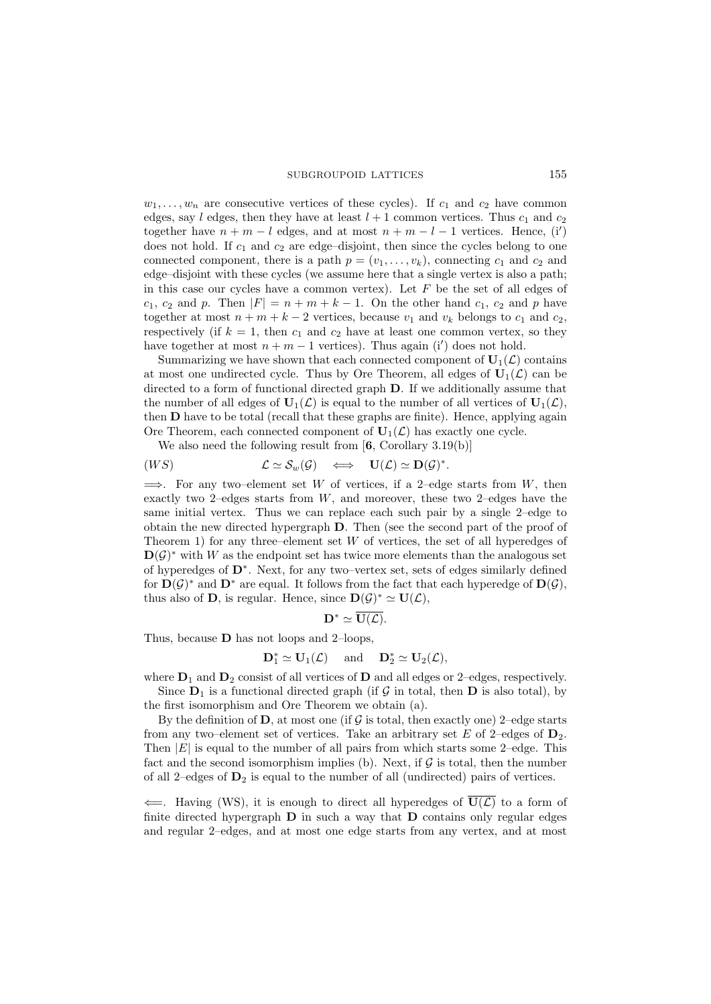#### SUBGROUPOID LATTICES 155

 $w_1, \ldots, w_n$  are consecutive vertices of these cycles). If  $c_1$  and  $c_2$  have common edges, say l edges, then they have at least  $l + 1$  common vertices. Thus  $c_1$  and  $c_2$ together have  $n + m - l$  edges, and at most  $n + m - l - 1$  vertices. Hence, (i') does not hold. If  $c_1$  and  $c_2$  are edge-disjoint, then since the cycles belong to one connected component, there is a path  $p = (v_1, \ldots, v_k)$ , connecting  $c_1$  and  $c_2$  and edge–disjoint with these cycles (we assume here that a single vertex is also a path; in this case our cycles have a common vertex). Let  $F$  be the set of all edges of  $c_1, c_2$  and p. Then  $|F| = n + m + k - 1$ . On the other hand  $c_1, c_2$  and p have together at most  $n + m + k - 2$  vertices, because  $v_1$  and  $v_k$  belongs to  $c_1$  and  $c_2$ , respectively (if  $k = 1$ , then  $c_1$  and  $c_2$  have at least one common vertex, so they have together at most  $n + m - 1$  vertices). Thus again (i') does not hold.

Summarizing we have shown that each connected component of  $\mathbf{U}_1(\mathcal{L})$  contains at most one undirected cycle. Thus by Ore Theorem, all edges of  $U_1(\mathcal{L})$  can be directed to a form of functional directed graph D. If we additionally assume that the number of all edges of  $\mathbf{U}_1(\mathcal{L})$  is equal to the number of all vertices of  $\mathbf{U}_1(\mathcal{L})$ , then D have to be total (recall that these graphs are finite). Hence, applying again Ore Theorem, each connected component of  $U_1(\mathcal{L})$  has exactly one cycle.

We also need the following result from  $[6,$  $[6,$  $[6,$  Corollary 3.19(b)]

$$
(WS) \t\t \mathcal{L} \simeq \mathcal{S}_w(\mathcal{G}) \iff \mathbf{U}(\mathcal{L}) \simeq \mathbf{D}(\mathcal{G})^*.
$$

 $\implies$ . For any two–element set W of vertices, if a 2–edge starts from W, then exactly two 2–edges starts from  $W$ , and moreover, these two 2–edges have the same initial vertex. Thus we can replace each such pair by a single 2–edge to obtain the new directed hypergraph D. Then (see the second part of the proof of Theorem 1) for any three–element set  $W$  of vertices, the set of all hyperedges of  $\mathbf{D}(\mathcal{G})^*$  with W as the endpoint set has twice more elements than the analogous set of hyperedges of D<sup>∗</sup> . Next, for any two–vertex set, sets of edges similarly defined for  $\mathbf{D}(\mathcal{G})^*$  and  $\mathbf{D}^*$  are equal. It follows from the fact that each hyperedge of  $\mathbf{D}(\mathcal{G})$ , thus also of **D**, is regular. Hence, since  $D(\mathcal{G})^* \simeq U(\mathcal{L})$ ,

$$
\mathbf{D}^* \simeq \overline{\mathbf{U}(\mathcal{L})}.
$$

Thus, because  **has not loops and 2–loops,** 

$$
\mathbf{D}_1^* \simeq \mathbf{U}_1(\mathcal{L}) \quad \text{ and } \quad \mathbf{D}_2^* \simeq \mathbf{U}_2(\mathcal{L}),
$$

where  $D_1$  and  $D_2$  consist of all vertices of D and all edges or 2–edges, respectively. Since  $D_1$  is a functional directed graph (if G in total, then D is also total), by the first isomorphism and Ore Theorem we obtain (a).

By the definition of  $D$ , at most one (if  $G$  is total, then exactly one) 2–edge starts from any two–element set of vertices. Take an arbitrary set E of 2–edges of  $D_2$ . Then  $|E|$  is equal to the number of all pairs from which starts some 2–edge. This fact and the second isomorphism implies (b). Next, if  $G$  is total, then the number of all 2–edges of  $D_2$  is equal to the number of all (undirected) pairs of vertices.

 $\leftarrow$ . Having (WS), it is enough to direct all hyperedges of  $U(\mathcal{L})$  to a form of finite directed hypergraph  $\bf{D}$  in such a way that  $\bf{D}$  contains only regular edges and regular 2–edges, and at most one edge starts from any vertex, and at most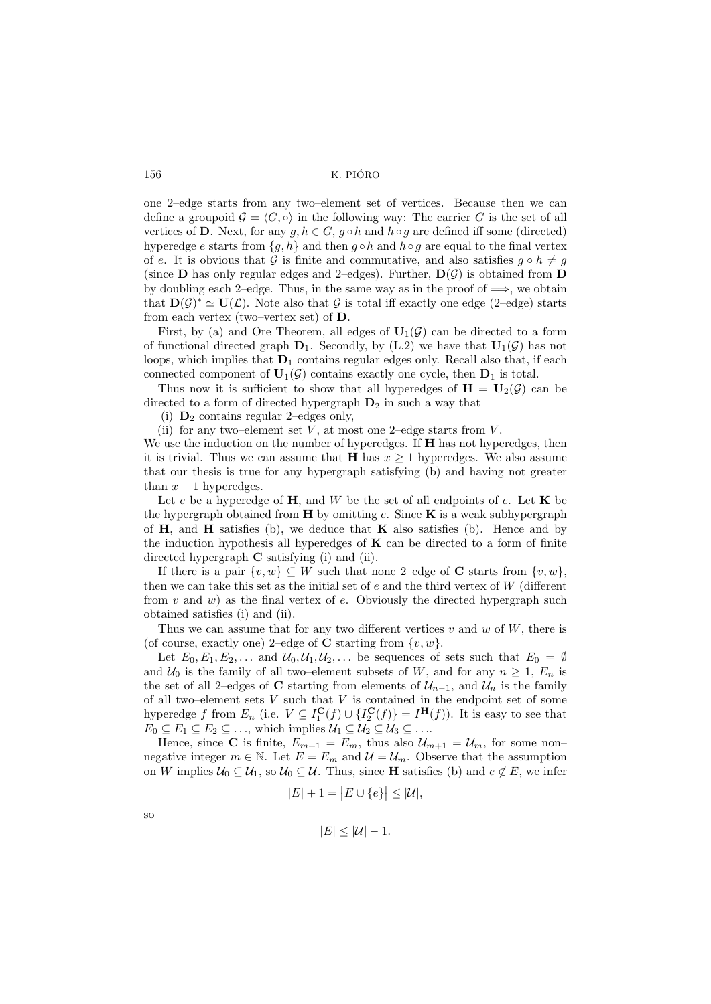one 2–edge starts from any two–element set of vertices. Because then we can define a groupoid  $\mathcal{G} = \langle G, \circ \rangle$  in the following way: The carrier G is the set of all vertices of D. Next, for any  $g, h \in G$ ,  $g \circ h$  and  $h \circ g$  are defined iff some (directed) hyperedge e starts from  ${g, h}$  and then  $g \circ h$  and  $h \circ g$  are equal to the final vertex of e. It is obvious that G is finite and commutative, and also satisfies  $q \circ h \neq q$ (since **D** has only regular edges and 2–edges). Further,  $D(\mathcal{G})$  is obtained from **D** by doubling each 2–edge. Thus, in the same way as in the proof of  $\implies$ , we obtain that  $\mathbf{D}(\mathcal{G})^* \simeq \mathbf{U}(\mathcal{L})$ . Note also that  $\mathcal{G}$  is total iff exactly one edge (2–edge) starts from each vertex (two–vertex set) of D.

First, by (a) and Ore Theorem, all edges of  $U_1(\mathcal{G})$  can be directed to a form of functional directed graph  $D_1$ . Secondly, by (L.2) we have that  $U_1(\mathcal{G})$  has not loops, which implies that  $D_1$  contains regular edges only. Recall also that, if each connected component of  $\mathbf{U}_1(\mathcal{G})$  contains exactly one cycle, then  $\mathbf{D}_1$  is total.

Thus now it is sufficient to show that all hyperedges of  $H = U_2(\mathcal{G})$  can be directed to a form of directed hypergraph  $D_2$  in such a way that

(i)  $\mathbf{D}_2$  contains regular 2–edges only,

(ii) for any two–element set  $V$ , at most one 2–edge starts from  $V$ .

We use the induction on the number of hyperedges. If  $H$  has not hyperedges, then it is trivial. Thus we can assume that **H** has  $x \geq 1$  hyperedges. We also assume that our thesis is true for any hypergraph satisfying (b) and having not greater than  $x - 1$  hyperedges.

Let e be a hyperedge of  $H$ , and W be the set of all endpoints of e. Let  $K$  be the hypergraph obtained from  $H$  by omitting e. Since  $K$  is a weak subhypergraph of  $H$ , and  $H$  satisfies (b), we deduce that  $K$  also satisfies (b). Hence and by the induction hypothesis all hyperedges of  $\bf{K}$  can be directed to a form of finite directed hypergraph C satisfying (i) and (ii).

If there is a pair  $\{v, w\} \subseteq W$  such that none 2–edge of **C** starts from  $\{v, w\}$ , then we can take this set as the initial set of  $e$  and the third vertex of  $W$  (different from  $v$  and  $w$ ) as the final vertex of  $e$ . Obviously the directed hypergraph such obtained satisfies (i) and (ii).

Thus we can assume that for any two different vertices  $v$  and  $w$  of  $W$ , there is (of course, exactly one) 2–edge of **C** starting from  $\{v, w\}$ .

Let  $E_0, E_1, E_2, \ldots$  and  $\mathcal{U}_0, \mathcal{U}_1, \mathcal{U}_2, \ldots$  be sequences of sets such that  $E_0 = \emptyset$ and  $U_0$  is the family of all two–element subsets of W, and for any  $n \geq 1$ ,  $E_n$  is the set of all 2–edges of C starting from elements of  $\mathcal{U}_{n-1}$ , and  $\mathcal{U}_n$  is the family of all two–element sets  $V$  such that  $V$  is contained in the endpoint set of some hyperedge f from  $E_n$  (i.e.  $V \subseteq I_1^{\mathbf{C}}(f) \cup \{I_2^{\mathbf{C}}(f)\} = I^{\mathbf{H}}(f)$ ). It is easy to see that  $E_0 \subseteq E_1 \subseteq E_2 \subseteq \ldots$ , which implies  $\mathcal{U}_1 \subseteq \mathcal{U}_2 \subseteq \mathcal{U}_3 \subseteq \ldots$ 

Hence, since **C** is finite,  $E_{m+1} = E_m$ , thus also  $\mathcal{U}_{m+1} = \mathcal{U}_m$ , for some nonnegative integer  $m \in \mathbb{N}$ . Let  $E = E_m$  and  $\mathcal{U} = \mathcal{U}_m$ . Observe that the assumption on W implies  $U_0 \subseteq U_1$ , so  $U_0 \subseteq U$ . Thus, since **H** satisfies (b) and  $e \notin E$ , we infer

$$
|E| + 1 = |E \cup \{e\}| \le |\mathcal{U}|,
$$

so

$$
|E| \leq |\mathcal{U}| - 1.
$$